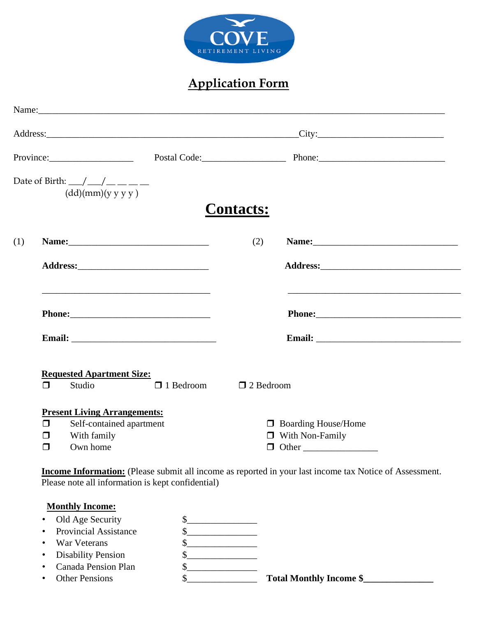

### **Application Form**

| Province: Postal Code: Postal Code: Phone: Phone: |                                                                                                                          |                                   |                  |                                                                      |  |
|---------------------------------------------------|--------------------------------------------------------------------------------------------------------------------------|-----------------------------------|------------------|----------------------------------------------------------------------|--|
|                                                   | Date of Birth: __/ __/ __ _ _ _<br>(dd)(mm)(y y y y)                                                                     |                                   | <b>Contacts:</b> |                                                                      |  |
| (1)                                               |                                                                                                                          |                                   | (2)              |                                                                      |  |
|                                                   |                                                                                                                          |                                   |                  |                                                                      |  |
|                                                   |                                                                                                                          |                                   |                  |                                                                      |  |
|                                                   |                                                                                                                          |                                   |                  |                                                                      |  |
|                                                   | <b>Requested Apartment Size:</b><br>Studio<br>$\Box$                                                                     | $\Box$ 1 Bedroom $\Box$ 2 Bedroom |                  |                                                                      |  |
|                                                   | <b>Present Living Arrangements:</b><br>$\Box$<br>Self-contained apartment<br>With family<br>$\Box$<br>Own home<br>$\Box$ |                                   |                  | <b>Boarding House/Home</b><br>$\Box$ With Non-Family<br>$\Box$ Other |  |

**Income Information:** (Please submit all income as reported in your last income tax Notice of Assessment. Please note all information is kept confidential)

#### **Monthly Income:**

- Old Age Security  $\frac{\$ {8}}{\ } Provincial Assistance  $\frac{\}{8}$ • Provincial Assistance • War Veterans  $\qquad \qquad$  \$ • Disability Pension \$\_\_\_\_\_\_\_\_\_\_\_\_\_\_\_ • Canada Pension Plan  $\quad \$ 
	-

• Other Pensions  $\frac{1}{2}$  **Total Monthly Income \$\_\_\_\_\_\_\_\_\_\_**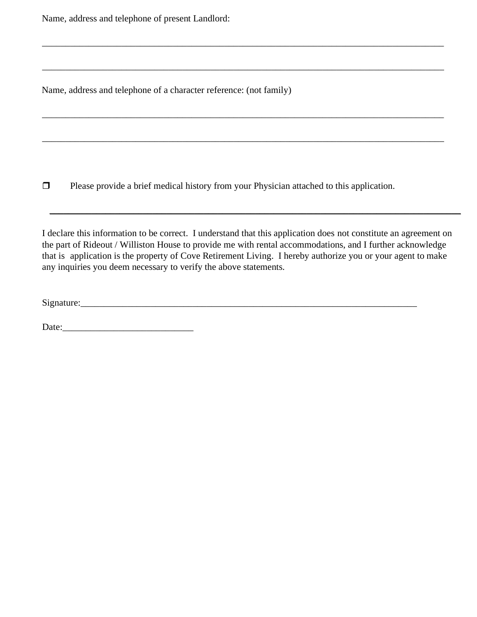Name, address and telephone of present Landlord:

Name, address and telephone of a character reference: (not family)

 $\Box$  Please provide a brief medical history from your Physician attached to this application.

I declare this information to be correct. I understand that this application does not constitute an agreement on the part of Rideout / Williston House to provide me with rental accommodations, and I further acknowledge that is application is the property of Cove Retirement Living. I hereby authorize you or your agent to make any inquiries you deem necessary to verify the above statements.

\_\_\_\_\_\_\_\_\_\_\_\_\_\_\_\_\_\_\_\_\_\_\_\_\_\_\_\_\_\_\_\_\_\_\_\_\_\_\_\_\_\_\_\_\_\_\_\_\_\_\_\_\_\_\_\_\_\_\_\_\_\_\_\_\_\_\_\_\_\_\_\_\_\_\_\_\_\_\_\_\_\_\_\_\_\_\_\_

\_\_\_\_\_\_\_\_\_\_\_\_\_\_\_\_\_\_\_\_\_\_\_\_\_\_\_\_\_\_\_\_\_\_\_\_\_\_\_\_\_\_\_\_\_\_\_\_\_\_\_\_\_\_\_\_\_\_\_\_\_\_\_\_\_\_\_\_\_\_\_\_\_\_\_\_\_\_\_\_\_\_\_\_\_\_

\_\_\_\_\_\_\_\_\_\_\_\_\_\_\_\_\_\_\_\_\_\_\_\_\_\_\_\_\_\_\_\_\_\_\_\_\_\_\_\_\_\_\_\_\_\_\_\_\_\_\_\_\_\_\_\_\_\_\_\_\_\_\_\_\_\_\_\_\_\_\_\_\_\_\_\_\_\_\_\_\_\_\_\_\_\_

\_\_\_\_\_\_\_\_\_\_\_\_\_\_\_\_\_\_\_\_\_\_\_\_\_\_\_\_\_\_\_\_\_\_\_\_\_\_\_\_\_\_\_\_\_\_\_\_\_\_\_\_\_\_\_\_\_\_\_\_\_\_\_\_\_\_\_\_\_\_\_\_\_\_\_\_\_\_\_\_\_\_\_\_\_\_

\_\_\_\_\_\_\_\_\_\_\_\_\_\_\_\_\_\_\_\_\_\_\_\_\_\_\_\_\_\_\_\_\_\_\_\_\_\_\_\_\_\_\_\_\_\_\_\_\_\_\_\_\_\_\_\_\_\_\_\_\_\_\_\_\_\_\_\_\_\_\_\_\_\_\_\_\_\_\_\_\_\_\_\_\_\_

 $Signature:$ 

Date:\_\_\_\_\_\_\_\_\_\_\_\_\_\_\_\_\_\_\_\_\_\_\_\_\_\_\_\_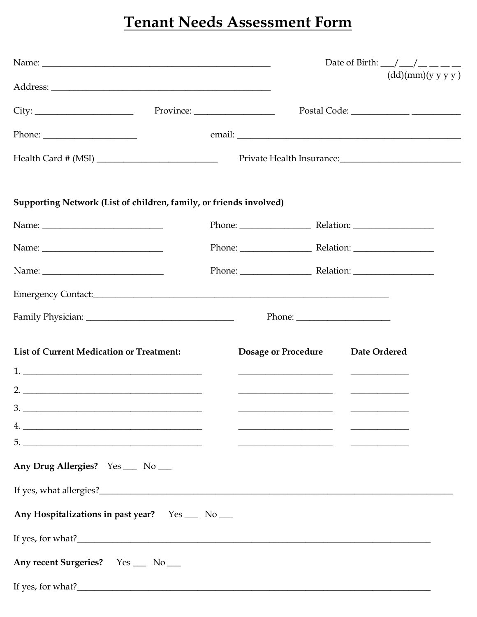## **Tenant Needs Assessment Form**

| Name:                                                                                                                                                                                                                                                                                                                                                                                                        |                                                                                                                                                                                                                                                                                                                                                                                                              | Date of Birth: $\angle$ / _/ _ _ _ _ |
|--------------------------------------------------------------------------------------------------------------------------------------------------------------------------------------------------------------------------------------------------------------------------------------------------------------------------------------------------------------------------------------------------------------|--------------------------------------------------------------------------------------------------------------------------------------------------------------------------------------------------------------------------------------------------------------------------------------------------------------------------------------------------------------------------------------------------------------|--------------------------------------|
|                                                                                                                                                                                                                                                                                                                                                                                                              |                                                                                                                                                                                                                                                                                                                                                                                                              | (dd)(mm)(y y y y)                    |
| $City:$ Province: Province:                                                                                                                                                                                                                                                                                                                                                                                  |                                                                                                                                                                                                                                                                                                                                                                                                              |                                      |
| Phone: $\frac{1}{\sqrt{1-\frac{1}{2}}\sqrt{1-\frac{1}{2}}\sqrt{1-\frac{1}{2}}\sqrt{1-\frac{1}{2}}\sqrt{1-\frac{1}{2}}\sqrt{1-\frac{1}{2}}\sqrt{1-\frac{1}{2}}\sqrt{1-\frac{1}{2}}\sqrt{1-\frac{1}{2}}\sqrt{1-\frac{1}{2}}\sqrt{1-\frac{1}{2}}\sqrt{1-\frac{1}{2}}\sqrt{1-\frac{1}{2}}\sqrt{1-\frac{1}{2}}\sqrt{1-\frac{1}{2}}\sqrt{1-\frac{1}{2}}\sqrt{1-\frac{1}{2}}\sqrt{1-\frac{1}{2}}\sqrt{1-\frac{1}{2$ |                                                                                                                                                                                                                                                                                                                                                                                                              |                                      |
|                                                                                                                                                                                                                                                                                                                                                                                                              |                                                                                                                                                                                                                                                                                                                                                                                                              |                                      |
| Supporting Network (List of children, family, or friends involved)                                                                                                                                                                                                                                                                                                                                           |                                                                                                                                                                                                                                                                                                                                                                                                              |                                      |
|                                                                                                                                                                                                                                                                                                                                                                                                              |                                                                                                                                                                                                                                                                                                                                                                                                              |                                      |
|                                                                                                                                                                                                                                                                                                                                                                                                              |                                                                                                                                                                                                                                                                                                                                                                                                              | Phone: <u>Nelation:</u> Relation:    |
|                                                                                                                                                                                                                                                                                                                                                                                                              |                                                                                                                                                                                                                                                                                                                                                                                                              | Phone: Relation: Relation:           |
|                                                                                                                                                                                                                                                                                                                                                                                                              |                                                                                                                                                                                                                                                                                                                                                                                                              |                                      |
|                                                                                                                                                                                                                                                                                                                                                                                                              | Phone: $\frac{1}{\sqrt{1-\frac{1}{2}}\sqrt{1-\frac{1}{2}}\sqrt{1-\frac{1}{2}}\sqrt{1-\frac{1}{2}}\sqrt{1-\frac{1}{2}}\sqrt{1-\frac{1}{2}}\sqrt{1-\frac{1}{2}}\sqrt{1-\frac{1}{2}}\sqrt{1-\frac{1}{2}}\sqrt{1-\frac{1}{2}}\sqrt{1-\frac{1}{2}}\sqrt{1-\frac{1}{2}}\sqrt{1-\frac{1}{2}}\sqrt{1-\frac{1}{2}}\sqrt{1-\frac{1}{2}}\sqrt{1-\frac{1}{2}}\sqrt{1-\frac{1}{2}}\sqrt{1-\frac{1}{2}}\sqrt{1-\frac{1}{2$ |                                      |
| <b>List of Current Medication or Treatment:</b>                                                                                                                                                                                                                                                                                                                                                              | <b>Dosage or Procedure</b>                                                                                                                                                                                                                                                                                                                                                                                   | Date Ordered                         |
|                                                                                                                                                                                                                                                                                                                                                                                                              |                                                                                                                                                                                                                                                                                                                                                                                                              |                                      |
|                                                                                                                                                                                                                                                                                                                                                                                                              | <u> 2000 - Andrea Andrew Maria (</u> 1989), and a strong and a strong strong and a strong strong strong strong strong strong strong strong strong strong strong strong strong strong strong strong strong strong strong strong stron                                                                                                                                                                         |                                      |
| 3.                                                                                                                                                                                                                                                                                                                                                                                                           |                                                                                                                                                                                                                                                                                                                                                                                                              |                                      |
| 4.                                                                                                                                                                                                                                                                                                                                                                                                           | <u> 1989 - Jan James James Barbara, politik eta idazlear</u>                                                                                                                                                                                                                                                                                                                                                 |                                      |
| 5.<br>Any Drug Allergies? Yes __ No __                                                                                                                                                                                                                                                                                                                                                                       | <u> 1989 - Johann John Stone, meil in der Stone (d. 1989)</u>                                                                                                                                                                                                                                                                                                                                                |                                      |
|                                                                                                                                                                                                                                                                                                                                                                                                              |                                                                                                                                                                                                                                                                                                                                                                                                              |                                      |
| Any Hospitalizations in past year? Yes __ No __                                                                                                                                                                                                                                                                                                                                                              |                                                                                                                                                                                                                                                                                                                                                                                                              |                                      |
|                                                                                                                                                                                                                                                                                                                                                                                                              |                                                                                                                                                                                                                                                                                                                                                                                                              |                                      |
| Any recent Surgeries? Yes __ No __                                                                                                                                                                                                                                                                                                                                                                           |                                                                                                                                                                                                                                                                                                                                                                                                              |                                      |
| If yes, for what?                                                                                                                                                                                                                                                                                                                                                                                            |                                                                                                                                                                                                                                                                                                                                                                                                              |                                      |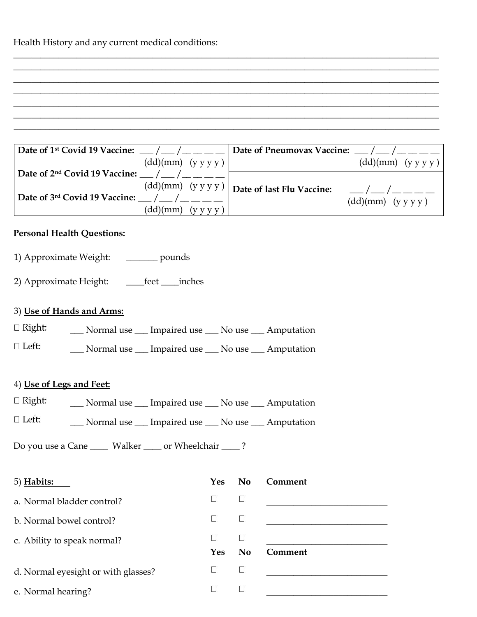Health History and any current medical conditions:

\_\_\_\_\_\_\_\_\_\_\_\_\_\_\_\_\_\_\_\_\_\_\_\_\_\_\_\_\_\_\_\_\_\_\_\_\_\_\_\_\_\_\_\_\_\_\_\_\_\_\_\_\_\_\_\_\_\_\_\_\_\_\_\_\_\_\_\_\_\_\_\_\_\_\_\_\_\_\_\_\_\_\_\_\_\_\_\_\_\_\_\_\_\_\_

|                                                                    | Date of 1st Covid 19 Vaccine: $\frac{m}{m}$ / $\frac{m}{m}$ Date of Pneumovax Vaccine: $\frac{m}{m}$ / $\frac{m}{m}$ / $\frac{m}{m}$ = $\frac{1}{m}$                                                                                                                                                                                                                   |
|--------------------------------------------------------------------|------------------------------------------------------------------------------------------------------------------------------------------------------------------------------------------------------------------------------------------------------------------------------------------------------------------------------------------------------------------------|
| $(dd)(mm)$ $(y \ y \ y \ y)$                                       | $(dd)(mm)$ $(y \ y \ y)$                                                                                                                                                                                                                                                                                                                                               |
| Date of 2 <sup>nd</sup> Covid 19 Vaccine: $\frac{1}{2}$ / __ _ _ _ |                                                                                                                                                                                                                                                                                                                                                                        |
|                                                                    | $(dd)(mm)$ $(y y y y)$ Date of last Flu Vaccine:<br>$\sqrt{2}$ $\sqrt{2}$ $\sqrt{2}$ $\sqrt{2}$ $\sqrt{2}$ $\sqrt{2}$ $\sqrt{2}$ $\sqrt{2}$ $\sqrt{2}$ $\sqrt{2}$ $\sqrt{2}$ $\sqrt{2}$ $\sqrt{2}$ $\sqrt{2}$ $\sqrt{2}$ $\sqrt{2}$ $\sqrt{2}$ $\sqrt{2}$ $\sqrt{2}$ $\sqrt{2}$ $\sqrt{2}$ $\sqrt{2}$ $\sqrt{2}$ $\sqrt{2}$ $\sqrt{2}$ $\sqrt{2}$ $\sqrt{2}$ $\sqrt{2$ |
| Date of 3 <sup>rd</sup> Covid 19 Vaccine: ___ / ___ / __ _ _ _     | $(dd)(mm)$ $(y \vee y)$                                                                                                                                                                                                                                                                                                                                                |
| $(dd)(mm)$ $(y \vee y)$                                            |                                                                                                                                                                                                                                                                                                                                                                        |

#### **Personal Health Questions:**

- 1) Approximate Weight: \_\_\_\_\_\_\_ pounds
- 2) Approximate Height: \_\_\_\_feet \_\_\_\_inches

#### 3) **Use of Hands and Arms:**

- $\Box$  Right: \_\_\_ Normal use \_\_\_ Impaired use \_\_\_ No use \_\_\_ Amputation
- $\Box$  Left: \_\_\_ Normal use \_\_\_ Impaired use \_\_\_ No use \_\_\_ Amputation

#### 4) **Use of Legs and Feet:**

- $\Box$  Right: \_\_\_ Normal use \_\_\_ Impaired use \_\_\_ No use \_\_\_ Amputation
- $\Box$  Left: \_\_\_ Normal use \_\_\_ Impaired use \_\_\_ No use \_\_\_ Amputation

Do you use a Cane \_\_\_\_\_ Walker \_\_\_\_\_ or Wheelchair \_\_\_\_\_ ?

| $5)$ Habits:                        | Yes                      | <b>No</b>      | Comment |
|-------------------------------------|--------------------------|----------------|---------|
| a. Normal bladder control?          | $\mathbf{I}$             |                |         |
| b. Normal bowel control?            | $\overline{\phantom{a}}$ |                |         |
| c. Ability to speak normal?         |                          |                |         |
|                                     | Yes                      | N <sub>0</sub> | Comment |
| d. Normal eyesight or with glasses? |                          |                |         |
| e. Normal hearing?                  |                          |                |         |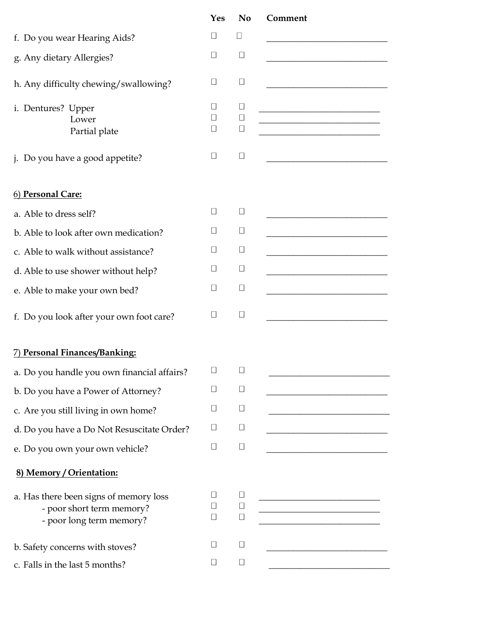|                                                                                                 | Yes                    | N <sub>0</sub>             | Comment                                                                                                                                                                                                                                                                                      |
|-------------------------------------------------------------------------------------------------|------------------------|----------------------------|----------------------------------------------------------------------------------------------------------------------------------------------------------------------------------------------------------------------------------------------------------------------------------------------|
| f. Do you wear Hearing Aids?                                                                    | $\Box$                 | $\Box$                     |                                                                                                                                                                                                                                                                                              |
| g. Any dietary Allergies?                                                                       | $\Box$                 | $\Box$                     |                                                                                                                                                                                                                                                                                              |
| h. Any difficulty chewing/swallowing?                                                           | $\Box$                 | $\Box$                     |                                                                                                                                                                                                                                                                                              |
| i. Dentures? Upper<br>Lower<br>Partial plate                                                    | $\Box$<br>П<br>$\perp$ | $\Box$<br>$\Box$<br>$\Box$ | <u> 1989 - Johann Stoff, deutscher Stoffen und der Stoffen und der Stoffen und der Stoffen und der Stoffen und der Stoffen und der Stoffen und der Stoffen und der Stoffen und der Stoffen und der Stoffen und der Stoffen und d</u><br><u> 1989 - Jan Barnett, fransk politik (d. 1989)</u> |
| j. Do you have a good appetite?                                                                 | $\Box$                 | $\Box$                     |                                                                                                                                                                                                                                                                                              |
| 6) Personal Care:                                                                               |                        |                            |                                                                                                                                                                                                                                                                                              |
| a. Able to dress self?                                                                          | П                      | $\Box$                     |                                                                                                                                                                                                                                                                                              |
| b. Able to look after own medication?                                                           | $\Box$                 | $\Box$                     |                                                                                                                                                                                                                                                                                              |
| c. Able to walk without assistance?                                                             | $\Box$                 | $\Box$                     |                                                                                                                                                                                                                                                                                              |
| d. Able to use shower without help?                                                             | $\Box$                 | $\Box$                     |                                                                                                                                                                                                                                                                                              |
| e. Able to make your own bed?                                                                   | $\Box$                 | $\Box$                     |                                                                                                                                                                                                                                                                                              |
| f. Do you look after your own foot care?                                                        | $\Box$                 | $\Box$                     |                                                                                                                                                                                                                                                                                              |
| 7) Personal Finances/Banking:                                                                   |                        |                            |                                                                                                                                                                                                                                                                                              |
| a. Do you handle you own financial affairs?                                                     | $\Box$                 | $\Box$                     |                                                                                                                                                                                                                                                                                              |
| b. Do you have a Power of Attorney?                                                             | $\Box$                 | $\Box$                     |                                                                                                                                                                                                                                                                                              |
| c. Are you still living in own home?                                                            | $\Box$                 | $\Box$                     |                                                                                                                                                                                                                                                                                              |
| d. Do you have a Do Not Resuscitate Order?                                                      | $\Box$                 | $\Box$                     |                                                                                                                                                                                                                                                                                              |
| e. Do you own your own vehicle?                                                                 | $\Box$                 | $\Box$                     |                                                                                                                                                                                                                                                                                              |
| 8) Memory / Orientation:                                                                        |                        |                            |                                                                                                                                                                                                                                                                                              |
| a. Has there been signs of memory loss<br>- poor short term memory?<br>- poor long term memory? | $\Box$<br>$\Box$       | $\Box$<br>$\Box$<br>$\Box$ | <u> 1989 - Johann Barbara, martin amerikan basal dan berasal dalam basal dalam basal dalam basal dalam basal dala</u>                                                                                                                                                                        |
| b. Safety concerns with stoves?                                                                 | $\Box$                 | $\Box$                     |                                                                                                                                                                                                                                                                                              |
| c. Falls in the last 5 months?                                                                  | $\Box$                 | $\Box$                     |                                                                                                                                                                                                                                                                                              |